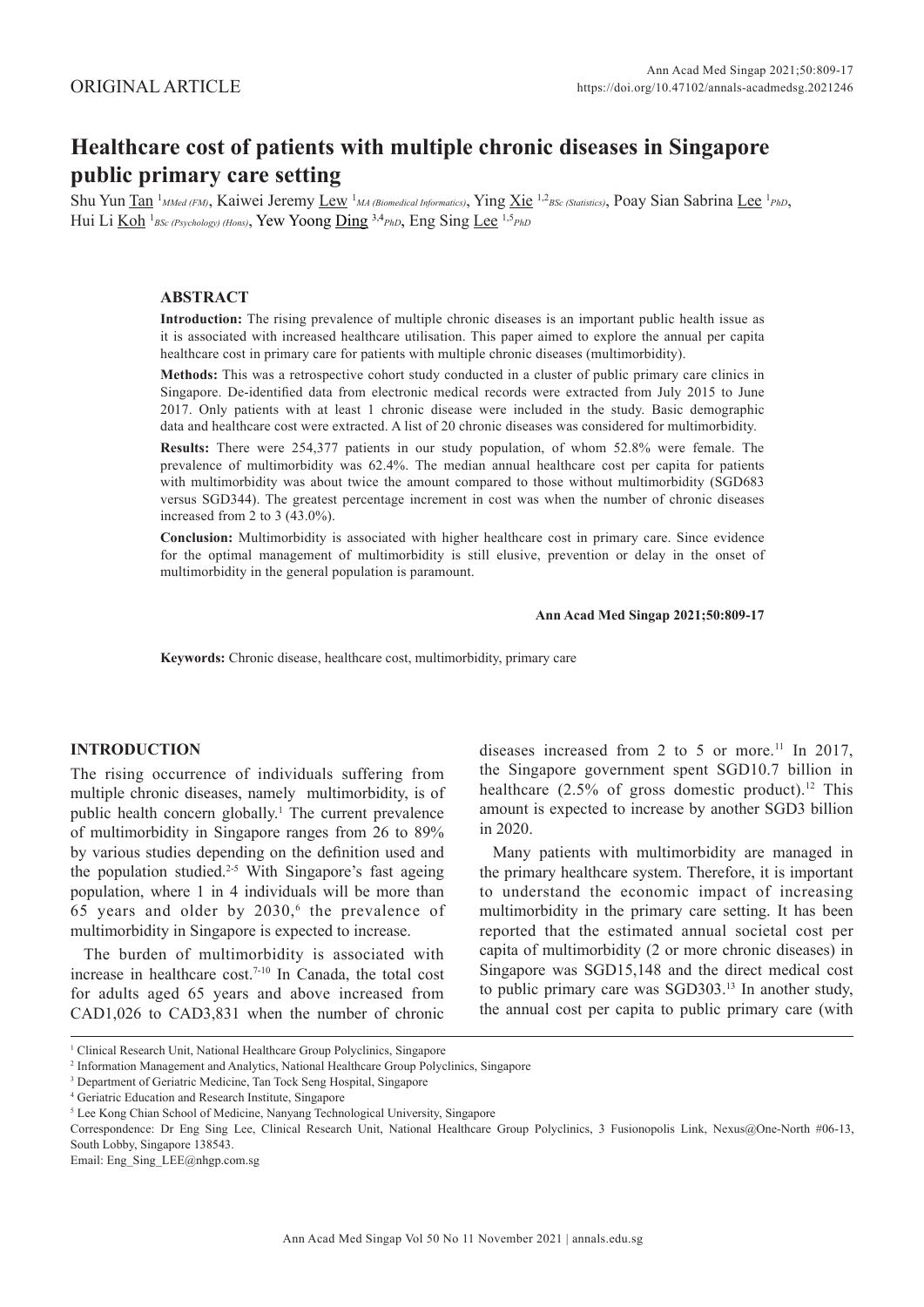# **Healthcare cost of patients with multiple chronic diseases in Singapore public primary care setting**

Shu Yun <u>Tan <sup>1</sup>MMed (FM)</u>, Kaiwei Jeremy <u>Lew <sup>1</sup>MA (Biomedical Informatics</u>), Ying <u>Xie</u> <sup>1,2</sup>BSc (Statistics), Poay Sian Sabrina Lee<sup>1</sup>PhD, Hui Li  $\underline{\text{Koh}}$  <sup>1</sup>BSc (Psychology) (Hons), Yew Yoong  $\underline{\text{Ding}}$  <sup>3,4</sup>PhD, Eng Sing Lee <sup>1,5</sup>PhD

# **ABSTRACT**

**Introduction:** The rising prevalence of multiple chronic diseases is an important public health issue as it is associated with increased healthcare utilisation. This paper aimed to explore the annual per capita healthcare cost in primary care for patients with multiple chronic diseases (multimorbidity).

**Methods:** This was a retrospective cohort study conducted in a cluster of public primary care clinics in Singapore. De-identified data from electronic medical records were extracted from July 2015 to June 2017. Only patients with at least 1 chronic disease were included in the study. Basic demographic data and healthcare cost were extracted. A list of 20 chronic diseases was considered for multimorbidity.

**Results:** There were 254,377 patients in our study population, of whom 52.8% were female. The prevalence of multimorbidity was 62.4%. The median annual healthcare cost per capita for patients with multimorbidity was about twice the amount compared to those without multimorbidity (SGD683 versus SGD344). The greatest percentage increment in cost was when the number of chronic diseases increased from 2 to 3 (43.0%).

**Conclusion:** Multimorbidity is associated with higher healthcare cost in primary care. Since evidence for the optimal management of multimorbidity is still elusive, prevention or delay in the onset of multimorbidity in the general population is paramount.

#### **Ann Acad Med Singap 2021;50:809-17**

**Keywords:** Chronic disease, healthcare cost, multimorbidity, primary care

# **INTRODUCTION**

The rising occurrence of individuals suffering from multiple chronic diseases, namely multimorbidity, is of public health concern globally.<sup>1</sup> The current prevalence of multimorbidity in Singapore ranges from 26 to 89% by various studies depending on the definition used and the population studied.<sup>2-5</sup> With Singapore's fast ageing population, where 1 in 4 individuals will be more than 65 years and older by  $2030$ ,<sup>6</sup> the prevalence of multimorbidity in Singapore is expected to increase.

The burden of multimorbidity is associated with increase in healthcare cost.7-10 In Canada, the total cost for adults aged 65 years and above increased from CAD1,026 to CAD3,831 when the number of chronic diseases increased from 2 to 5 or more.<sup>11</sup> In 2017, the Singapore government spent SGD10.7 billion in healthcare  $(2.5\% \text{ of gross domestic product})$ .<sup>12</sup> This amount is expected to increase by another SGD3 billion in 2020.

Many patients with multimorbidity are managed in the primary healthcare system. Therefore, it is important to understand the economic impact of increasing multimorbidity in the primary care setting. It has been reported that the estimated annual societal cost per capita of multimorbidity (2 or more chronic diseases) in Singapore was SGD15,148 and the direct medical cost to public primary care was SGD303.13 In another study, the annual cost per capita to public primary care (with

Email: Eng\_Sing\_LEE@nhgp.com.sg

<sup>&</sup>lt;sup>1</sup> Clinical Research Unit, National Healthcare Group Polyclinics, Singapore

<sup>2</sup> Information Management and Analytics, National Healthcare Group Polyclinics, Singapore

<sup>3</sup> Department of Geriatric Medicine, Tan Tock Seng Hospital, Singapore

<sup>4</sup> Geriatric Education and Research Institute, Singapore

<sup>&</sup>lt;sup>5</sup> Lee Kong Chian School of Medicine, Nanyang Technological University, Singapore

Correspondence: Dr Eng Sing Lee, Clinical Research Unit, National Healthcare Group Polyclinics, 3 Fusionopolis Link, Nexus@One-North #06-13, South Lobby, Singapore 138543.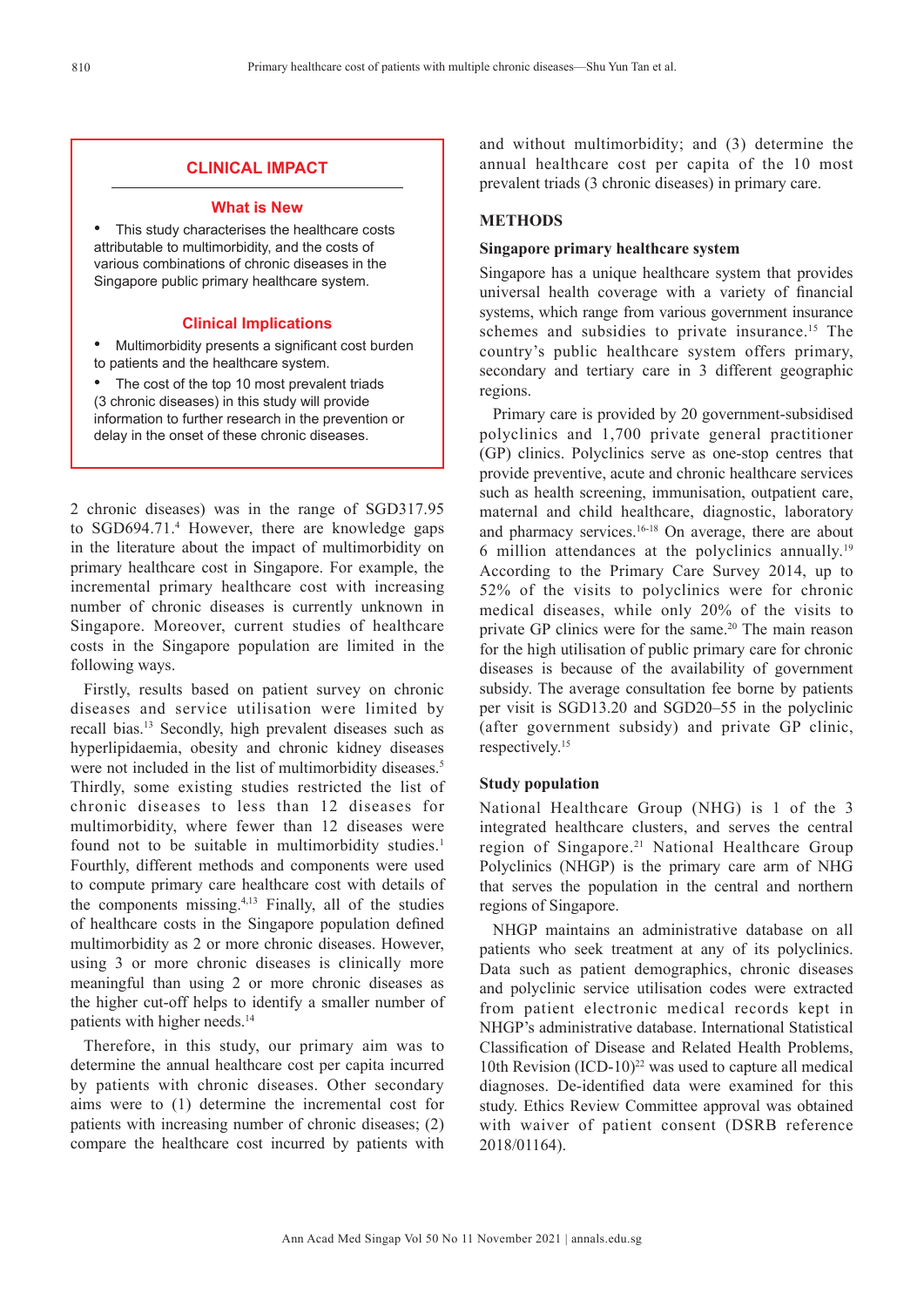# **CLINICAL IMPACT**

#### **What is New**

This study characterises the healthcare costs attributable to multimorbidity, and the costs of various combinations of chronic diseases in the Singapore public primary healthcare system.

## **Clinical Implications**

Multimorbidity presents a significant cost burden to patients and the healthcare system.

The cost of the top 10 most prevalent triads (3 chronic diseases) in this study will provide information to further research in the prevention or delay in the onset of these chronic diseases.

2 chronic diseases) was in the range of SGD317.95 to SGD694.71.4 However, there are knowledge gaps in the literature about the impact of multimorbidity on primary healthcare cost in Singapore. For example, the incremental primary healthcare cost with increasing number of chronic diseases is currently unknown in Singapore. Moreover, current studies of healthcare costs in the Singapore population are limited in the following ways.

Firstly, results based on patient survey on chronic diseases and service utilisation were limited by recall bias.13 Secondly, high prevalent diseases such as hyperlipidaemia, obesity and chronic kidney diseases were not included in the list of multimorbidity diseases.<sup>5</sup> Thirdly, some existing studies restricted the list of chronic diseases to less than 12 diseases for multimorbidity, where fewer than 12 diseases were found not to be suitable in multimorbidity studies.<sup>1</sup> Fourthly, different methods and components were used to compute primary care healthcare cost with details of the components missing.4,13 Finally, all of the studies of healthcare costs in the Singapore population defined multimorbidity as 2 or more chronic diseases. However, using 3 or more chronic diseases is clinically more meaningful than using 2 or more chronic diseases as the higher cut-off helps to identify a smaller number of patients with higher needs.<sup>14</sup>

Therefore, in this study, our primary aim was to determine the annual healthcare cost per capita incurred by patients with chronic diseases. Other secondary aims were to (1) determine the incremental cost for patients with increasing number of chronic diseases; (2) compare the healthcare cost incurred by patients with and without multimorbidity; and (3) determine the annual healthcare cost per capita of the 10 most prevalent triads (3 chronic diseases) in primary care.

# **METHODS**

# **Singapore primary healthcare system**

Singapore has a unique healthcare system that provides universal health coverage with a variety of financial systems, which range from various government insurance schemes and subsidies to private insurance.<sup>15</sup> The country's public healthcare system offers primary, secondary and tertiary care in 3 different geographic regions.

Primary care is provided by 20 government-subsidised polyclinics and 1,700 private general practitioner (GP) clinics. Polyclinics serve as one-stop centres that provide preventive, acute and chronic healthcare services such as health screening, immunisation, outpatient care, maternal and child healthcare, diagnostic, laboratory and pharmacy services.<sup>16-18</sup> On average, there are about 6 million attendances at the polyclinics annually.19 According to the Primary Care Survey 2014, up to 52% of the visits to polyclinics were for chronic medical diseases, while only 20% of the visits to private GP clinics were for the same.<sup>20</sup> The main reason for the high utilisation of public primary care for chronic diseases is because of the availability of government subsidy. The average consultation fee borne by patients per visit is SGD13.20 and SGD20–55 in the polyclinic (after government subsidy) and private GP clinic, respectively.15

## **Study population**

National Healthcare Group (NHG) is 1 of the 3 integrated healthcare clusters, and serves the central region of Singapore.21 National Healthcare Group Polyclinics (NHGP) is the primary care arm of NHG that serves the population in the central and northern regions of Singapore.

NHGP maintains an administrative database on all patients who seek treatment at any of its polyclinics. Data such as patient demographics, chronic diseases and polyclinic service utilisation codes were extracted from patient electronic medical records kept in NHGP's administrative database. International Statistical Classification of Disease and Related Health Problems, 10th Revision  $(ICD-10)^{22}$  was used to capture all medical diagnoses. De-identified data were examined for this study. Ethics Review Committee approval was obtained with waiver of patient consent (DSRB reference 2018/01164).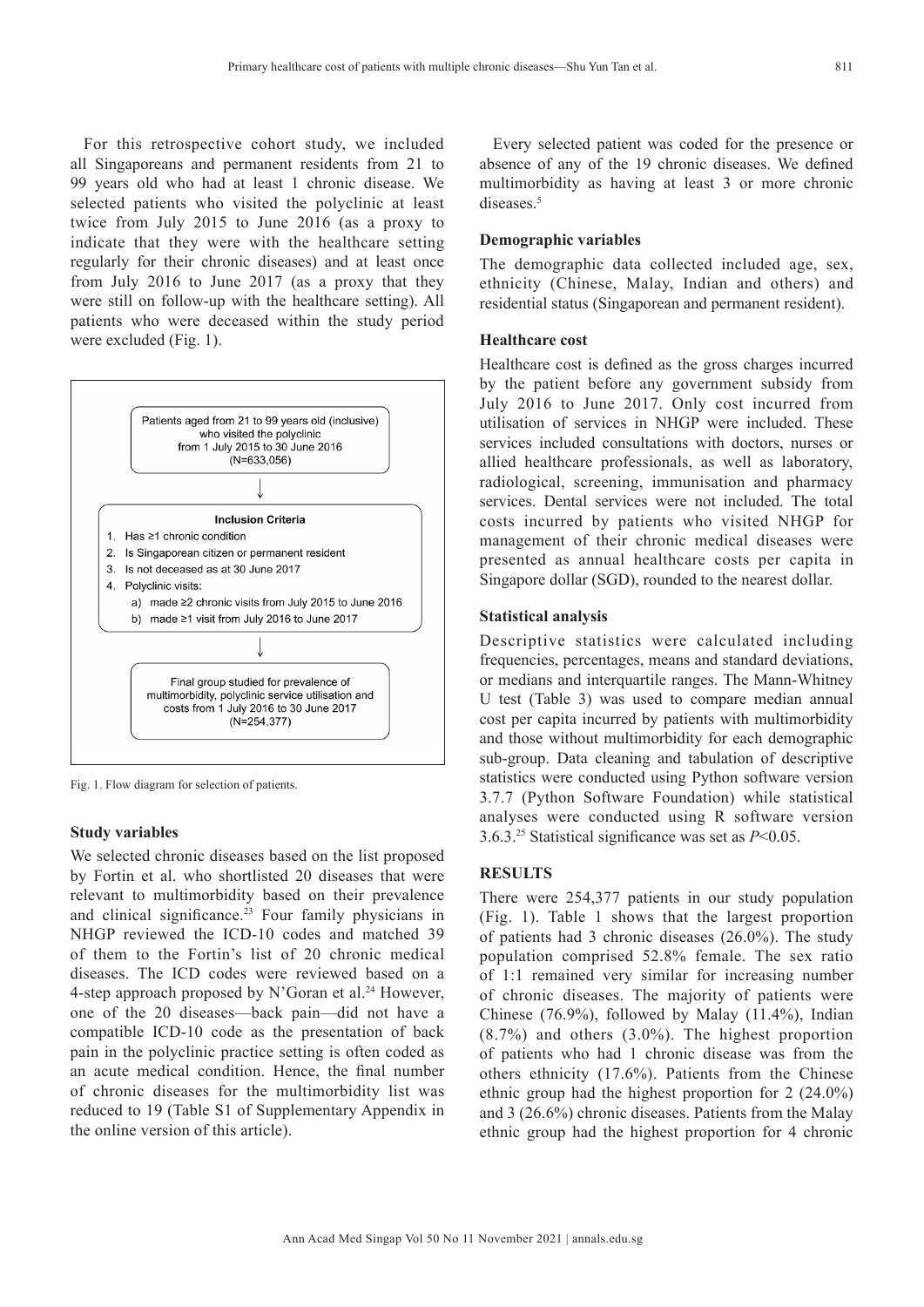For this retrospective cohort study, we included all Singaporeans and permanent residents from 21 to 99 years old who had at least 1 chronic disease. We selected patients who visited the polyclinic at least twice from July 2015 to June 2016 (as a proxy to indicate that they were with the healthcare setting regularly for their chronic diseases) and at least once from July 2016 to June 2017 (as a proxy that they were still on follow-up with the healthcare setting). All patients who were deceased within the study period were excluded (Fig. 1).



Fig. 1. Flow diagram for selection of patients.

#### **Study variables**

We selected chronic diseases based on the list proposed by Fortin et al. who shortlisted 20 diseases that were relevant to multimorbidity based on their prevalence and clinical significance.<sup>23</sup> Four family physicians in NHGP reviewed the ICD-10 codes and matched 39 of them to the Fortin's list of 20 chronic medical diseases. The ICD codes were reviewed based on a 4-step approach proposed by N'Goran et al.<sup>24</sup> However, one of the 20 diseases—back pain—did not have a compatible ICD-10 code as the presentation of back pain in the polyclinic practice setting is often coded as an acute medical condition. Hence, the final number of chronic diseases for the multimorbidity list was reduced to 19 (Table S1 of Supplementary Appendix in the online version of this article).

Every selected patient was coded for the presence or absence of any of the 19 chronic diseases. We defined multimorbidity as having at least 3 or more chronic diseases.<sup>5</sup>

# **Demographic variables**

The demographic data collected included age, sex, ethnicity (Chinese, Malay, Indian and others) and residential status (Singaporean and permanent resident).

#### **Healthcare cost**

Healthcare cost is defined as the gross charges incurred by the patient before any government subsidy from July 2016 to June 2017. Only cost incurred from utilisation of services in NHGP were included. These services included consultations with doctors, nurses or allied healthcare professionals, as well as laboratory, radiological, screening, immunisation and pharmacy services. Dental services were not included. The total costs incurred by patients who visited NHGP for management of their chronic medical diseases were presented as annual healthcare costs per capita in Singapore dollar (SGD), rounded to the nearest dollar.

#### **Statistical analysis**

Descriptive statistics were calculated including frequencies, percentages, means and standard deviations, or medians and interquartile ranges. The Mann-Whitney U test (Table 3) was used to compare median annual cost per capita incurred by patients with multimorbidity and those without multimorbidity for each demographic sub-group. Data cleaning and tabulation of descriptive statistics were conducted using Python software version 3.7.7 (Python Software Foundation) while statistical analyses were conducted using R software version 3.6.3.25 Statistical significance was set as *P*<0.05.

## **RESULTS**

There were 254,377 patients in our study population (Fig. 1). Table 1 shows that the largest proportion of patients had 3 chronic diseases (26.0%). The study population comprised 52.8% female. The sex ratio of 1:1 remained very similar for increasing number of chronic diseases. The majority of patients were Chinese (76.9%), followed by Malay (11.4%), Indian (8.7%) and others (3.0%). The highest proportion of patients who had 1 chronic disease was from the others ethnicity (17.6%). Patients from the Chinese ethnic group had the highest proportion for 2 (24.0%) and 3 (26.6%) chronic diseases. Patients from the Malay ethnic group had the highest proportion for 4 chronic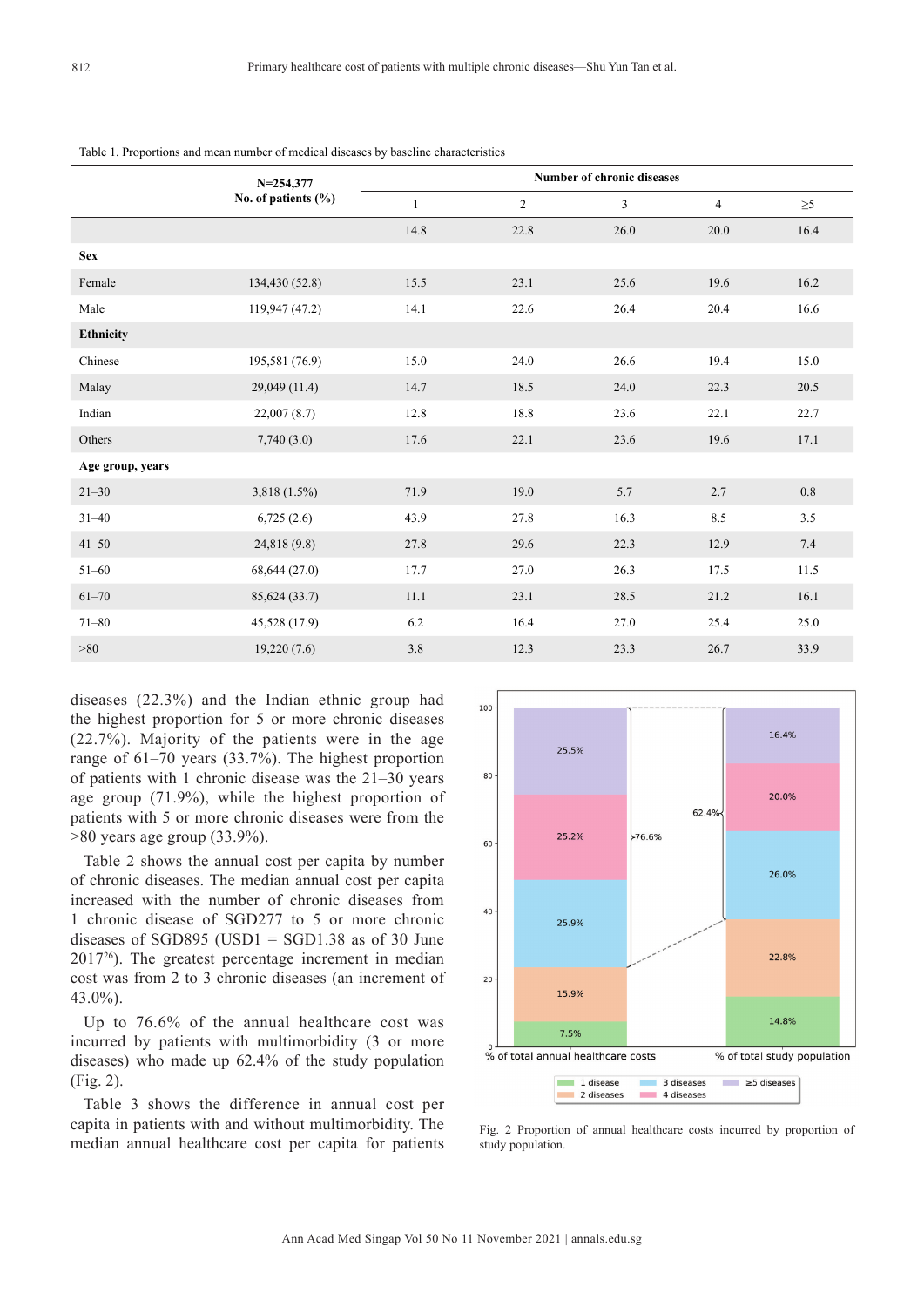|                  | $N = 254,377$           | <b>Number of chronic diseases</b> |              |      |                |          |
|------------------|-------------------------|-----------------------------------|--------------|------|----------------|----------|
|                  | No. of patients $(\% )$ | 1                                 | $\mathbf{2}$ | 3    | $\overline{4}$ | $\geq 5$ |
|                  |                         | 14.8                              | 22.8         | 26.0 | 20.0           | 16.4     |
| <b>Sex</b>       |                         |                                   |              |      |                |          |
| Female           | 134,430 (52.8)          | 15.5                              | 23.1         | 25.6 | 19.6           | 16.2     |
| Male             | 119,947 (47.2)          | 14.1                              | 22.6         | 26.4 | 20.4           | 16.6     |
| Ethnicity        |                         |                                   |              |      |                |          |
| Chinese          | 195,581 (76.9)          | 15.0                              | 24.0         | 26.6 | 19.4           | 15.0     |
| Malay            | 29,049 (11.4)           | 14.7                              | 18.5         | 24.0 | 22.3           | 20.5     |
| Indian           | 22,007(8.7)             | 12.8                              | 18.8         | 23.6 | 22.1           | 22.7     |
| Others           | 7,740(3.0)              | 17.6                              | 22.1         | 23.6 | 19.6           | 17.1     |
| Age group, years |                         |                                   |              |      |                |          |
| $21 - 30$        | $3,818(1.5\%)$          | 71.9                              | 19.0         | 5.7  | 2.7            | 0.8      |
| $31 - 40$        | 6,725(2.6)              | 43.9                              | 27.8         | 16.3 | 8.5            | 3.5      |
| $41 - 50$        | 24,818 (9.8)            | 27.8                              | 29.6         | 22.3 | 12.9           | 7.4      |
| $51 - 60$        | 68,644 (27.0)           | 17.7                              | 27.0         | 26.3 | 17.5           | 11.5     |
| $61 - 70$        | 85,624 (33.7)           | 11.1                              | 23.1         | 28.5 | 21.2           | 16.1     |
| $71 - 80$        | 45,528 (17.9)           | 6.2                               | 16.4         | 27.0 | 25.4           | 25.0     |
| >80              | 19,220(7.6)             | $3.8\,$                           | 12.3         | 23.3 | 26.7           | 33.9     |

Table 1. Proportions and mean number of medical diseases by baseline characteristics

diseases (22.3%) and the Indian ethnic group had the highest proportion for 5 or more chronic diseases (22.7%). Majority of the patients were in the age range of 61–70 years (33.7%). The highest proportion of patients with 1 chronic disease was the 21–30 years age group (71.9%), while the highest proportion of patients with 5 or more chronic diseases were from the >80 years age group (33.9%).

Table 2 shows the annual cost per capita by number of chronic diseases. The median annual cost per capita increased with the number of chronic diseases from 1 chronic disease of SGD277 to 5 or more chronic diseases of SGD895 (USD1 = SGD1.38 as of 30 June 201726). The greatest percentage increment in median cost was from 2 to 3 chronic diseases (an increment of 43.0%).

Up to 76.6% of the annual healthcare cost was incurred by patients with multimorbidity (3 or more diseases) who made up 62.4% of the study population (Fig. 2).

Table 3 shows the difference in annual cost per capita in patients with and without multimorbidity. The median annual healthcare cost per capita for patients



Fig. 2 Proportion of annual healthcare costs incurred by proportion of study population.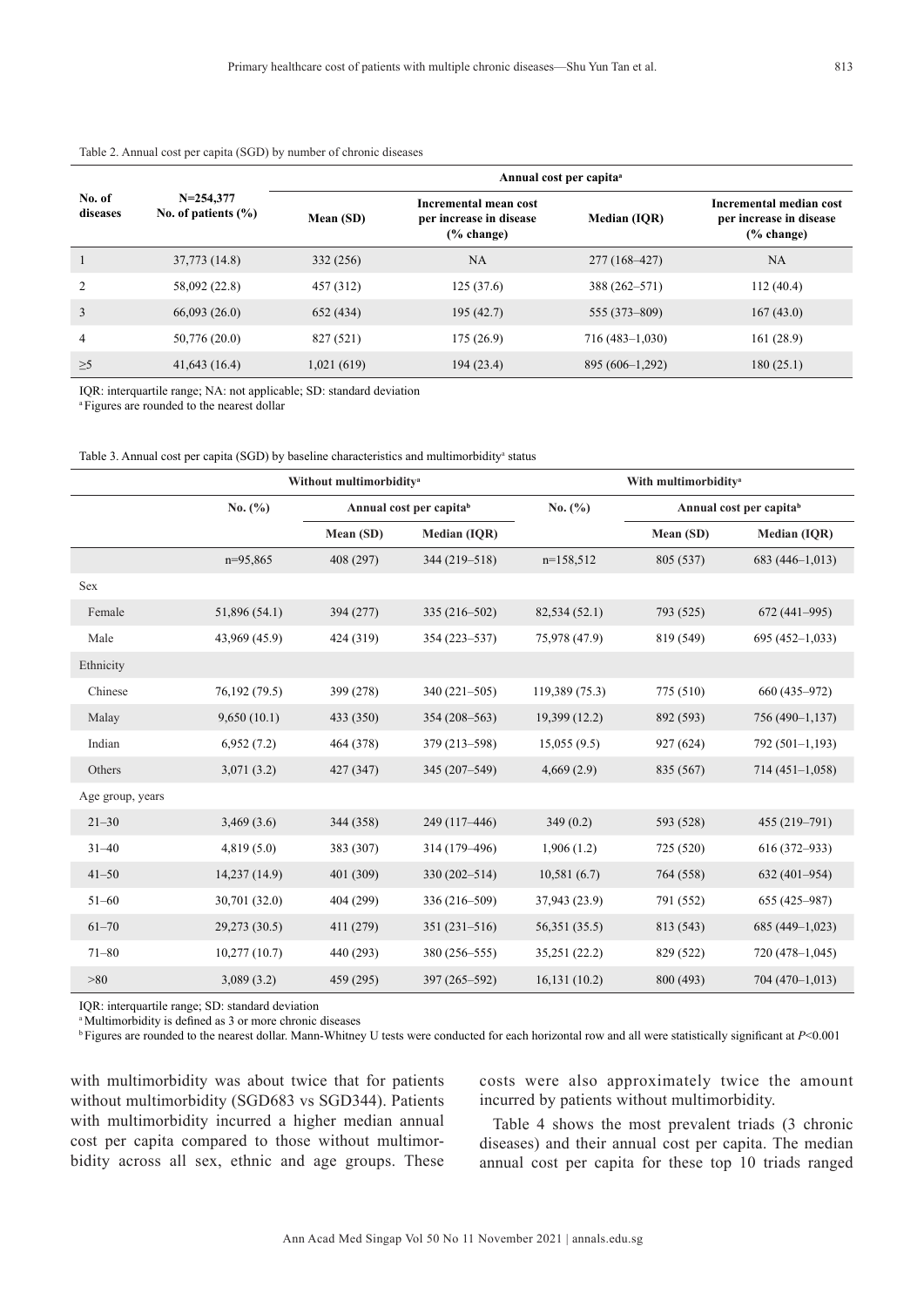|                    |                                          | Annual cost per capita <sup>a</sup> |                                                               |                    |                                                                     |  |  |
|--------------------|------------------------------------------|-------------------------------------|---------------------------------------------------------------|--------------------|---------------------------------------------------------------------|--|--|
| No. of<br>diseases | $N = 254.377$<br>No. of patients $(\% )$ | Mean (SD)                           | Incremental mean cost<br>per increase in disease<br>% change) | Median (IOR)       | Incremental median cost<br>per increase in disease<br>$(\%$ change) |  |  |
|                    | 37,773 (14.8)                            | 332 (256)                           | <b>NA</b>                                                     | 277 (168–427)      | NA                                                                  |  |  |
| 2                  | 58,092 (22.8)                            | 457 (312)                           | 125(37.6)                                                     | 388 (262–571)      | 112(40.4)                                                           |  |  |
| 3                  | 66,093(26.0)                             | 652 (434)                           | 195(42.7)                                                     | 555 (373-809)      | 167(43.0)                                                           |  |  |
| 4                  | 50,776 (20.0)                            | 827 (521)                           | 175(26.9)                                                     | $716(483 - 1,030)$ | 161(28.9)                                                           |  |  |
| $\geq 5$           | 41,643(16.4)                             | 1,021(619)                          | 194(23.4)                                                     | $895(606-1,292)$   | 180(25.1)                                                           |  |  |

#### Table 2. Annual cost per capita (SGD) by number of chronic diseases

IQR: interquartile range; NA: not applicable; SD: standard deviation

<sup>a</sup> Figures are rounded to the nearest dollar

Table 3. Annual cost per capita (SGD) by baseline characteristics and multimorbidity<sup>a</sup> status

|                  |               | Without multimorbidity <sup>a</sup> |                     |                | With multimorbidity <sup>a</sup> |                  |  |  |
|------------------|---------------|-------------------------------------|---------------------|----------------|----------------------------------|------------------|--|--|
|                  | No. $(\% )$   | Annual cost per capitab             |                     | No. $(\% )$    | Annual cost per capitab          |                  |  |  |
|                  |               | Mean (SD)                           | <b>Median (IQR)</b> |                | Mean (SD)                        | Median (IQR)     |  |  |
|                  | $n=95,865$    | 408 (297)                           | 344 (219-518)       | $n=158,512$    | 805 (537)                        | $683(446-1,013)$ |  |  |
| <b>Sex</b>       |               |                                     |                     |                |                                  |                  |  |  |
| Female           | 51,896 (54.1) | 394 (277)                           | $335(216-502)$      | 82,534 (52.1)  | 793 (525)                        | $672(441-995)$   |  |  |
| Male             | 43,969 (45.9) | 424 (319)                           | 354 (223-537)       | 75,978 (47.9)  | 819 (549)                        | $695(452-1,033)$ |  |  |
| Ethnicity        |               |                                     |                     |                |                                  |                  |  |  |
| Chinese          | 76,192 (79.5) | 399 (278)                           | $340(221-505)$      | 119,389 (75.3) | 775 (510)                        | 660 (435-972)    |  |  |
| Malay            | 9,650(10.1)   | 433 (350)                           | $354(208 - 563)$    | 19,399 (12.2)  | 892 (593)                        | 756 (490-1,137)  |  |  |
| Indian           | 6,952(7.2)    | 464 (378)                           | 379 (213-598)       | 15,055(9.5)    | 927 (624)                        | 792 (501-1,193)  |  |  |
| Others           | 3,071(3.2)    | 427 (347)                           | 345 (207-549)       | 4,669(2.9)     | 835 (567)                        | $714(451-1,058)$ |  |  |
| Age group, years |               |                                     |                     |                |                                  |                  |  |  |
| $21 - 30$        | 3,469(3.6)    | 344 (358)                           | 249 (117-446)       | 349(0.2)       | 593 (528)                        | 455 (219-791)    |  |  |
| $31 - 40$        | 4,819(5.0)    | 383 (307)                           | 314 (179-496)       | 1,906(1.2)     | 725 (520)                        | 616 (372-933)    |  |  |
| $41 - 50$        | 14,237 (14.9) | 401 (309)                           | $330(202 - 514)$    | 10,581(6.7)    | 764 (558)                        | 632 (401-954)    |  |  |
| $51 - 60$        | 30,701 (32.0) | 404 (299)                           | 336 (216-509)       | 37,943 (23.9)  | 791 (552)                        | 655 (425-987)    |  |  |
| $61 - 70$        | 29,273 (30.5) | 411 (279)                           | $351(231-516)$      | 56,351 (35.5)  | 813 (543)                        | 685 (449-1,023)  |  |  |
| $71 - 80$        | 10,277(10.7)  | 440 (293)                           | 380 (256-555)       | 35,251 (22.2)  | 829 (522)                        | 720 (478-1,045)  |  |  |
| >80              | 3,089(3.2)    | 459 (295)                           | 397 (265-592)       | 16,131(10.2)   | 800 (493)                        | $704(470-1,013)$ |  |  |

IQR: interquartile range; SD: standard deviation

<sup>a</sup>Multimorbidity is defined as 3 or more chronic diseases

<sup>b</sup>Figures are rounded to the nearest dollar. Mann-Whitney U tests were conducted for each horizontal row and all were statistically significant at *P*<0.001

with multimorbidity was about twice that for patients without multimorbidity (SGD683 vs SGD344). Patients with multimorbidity incurred a higher median annual cost per capita compared to those without multimorbidity across all sex, ethnic and age groups. These costs were also approximately twice the amount incurred by patients without multimorbidity.

Table 4 shows the most prevalent triads (3 chronic diseases) and their annual cost per capita. The median annual cost per capita for these top 10 triads ranged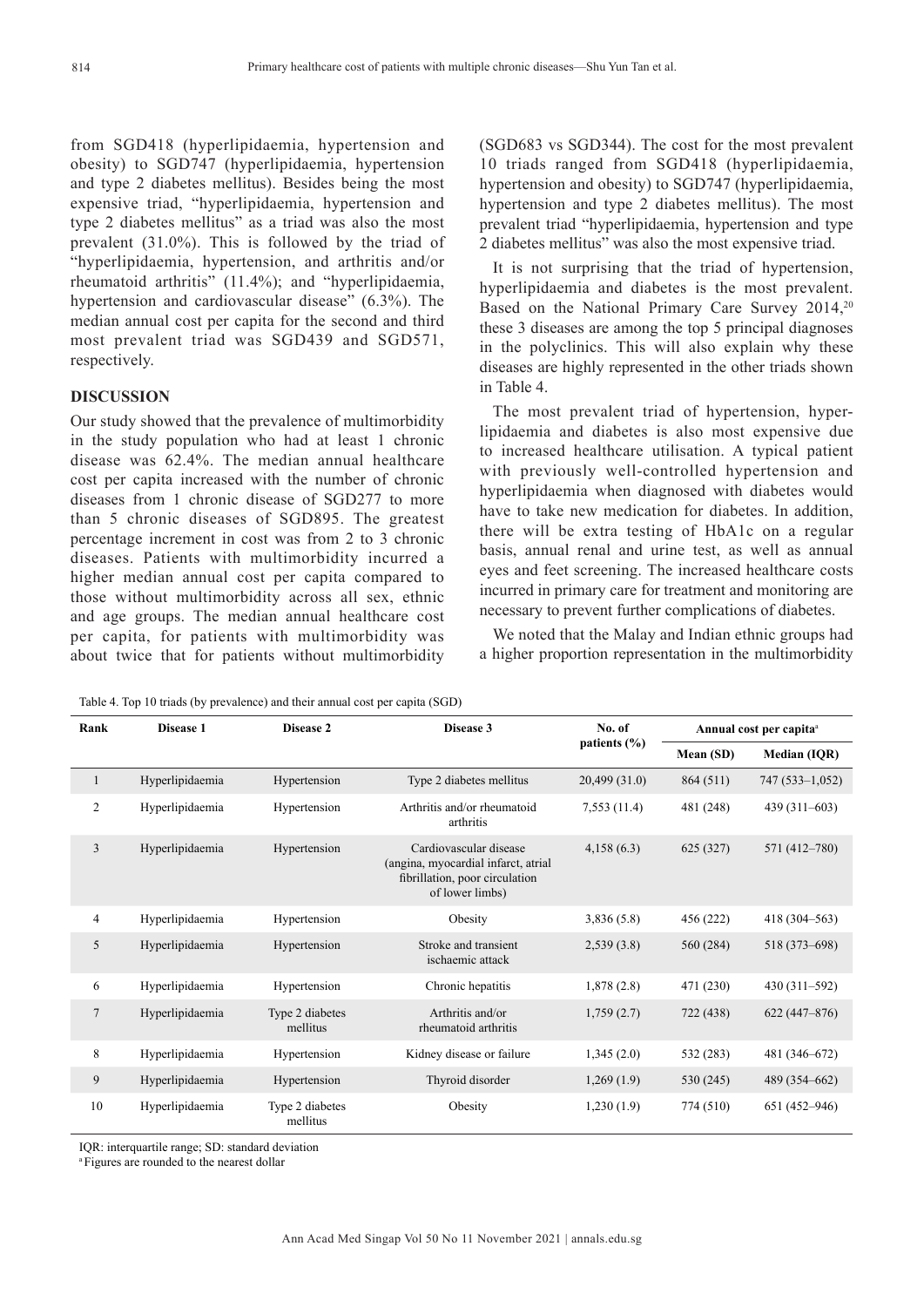from SGD418 (hyperlipidaemia, hypertension and obesity) to SGD747 (hyperlipidaemia, hypertension and type 2 diabetes mellitus). Besides being the most expensive triad, "hyperlipidaemia, hypertension and type 2 diabetes mellitus" as a triad was also the most prevalent (31.0%). This is followed by the triad of "hyperlipidaemia, hypertension, and arthritis and/or rheumatoid arthritis" (11.4%); and "hyperlipidaemia, hypertension and cardiovascular disease" (6.3%). The median annual cost per capita for the second and third most prevalent triad was SGD439 and SGD571, respectively.

## **DISCUSSION**

Our study showed that the prevalence of multimorbidity in the study population who had at least 1 chronic disease was 62.4%. The median annual healthcare cost per capita increased with the number of chronic diseases from 1 chronic disease of SGD277 to more than 5 chronic diseases of SGD895. The greatest percentage increment in cost was from 2 to 3 chronic diseases. Patients with multimorbidity incurred a higher median annual cost per capita compared to those without multimorbidity across all sex, ethnic and age groups. The median annual healthcare cost per capita, for patients with multimorbidity was about twice that for patients without multimorbidity (SGD683 vs SGD344). The cost for the most prevalent 10 triads ranged from SGD418 (hyperlipidaemia, hypertension and obesity) to SGD747 (hyperlipidaemia, hypertension and type 2 diabetes mellitus). The most prevalent triad "hyperlipidaemia, hypertension and type 2 diabetes mellitus" was also the most expensive triad.

It is not surprising that the triad of hypertension, hyperlipidaemia and diabetes is the most prevalent. Based on the National Primary Care Survey 2014,<sup>20</sup> these 3 diseases are among the top 5 principal diagnoses in the polyclinics. This will also explain why these diseases are highly represented in the other triads shown in Table 4.

The most prevalent triad of hypertension, hyperlipidaemia and diabetes is also most expensive due to increased healthcare utilisation. A typical patient with previously well-controlled hypertension and hyperlipidaemia when diagnosed with diabetes would have to take new medication for diabetes. In addition, there will be extra testing of HbA1c on a regular basis, annual renal and urine test, as well as annual eyes and feet screening. The increased healthcare costs incurred in primary care for treatment and monitoring are necessary to prevent further complications of diabetes.

We noted that the Malay and Indian ethnic groups had a higher proportion representation in the multimorbidity

| Rank           | Disease 1       | Disease 2                   | Disease 3                                                                                                          | No. of       | Annual cost per capita <sup>a</sup> |                  |
|----------------|-----------------|-----------------------------|--------------------------------------------------------------------------------------------------------------------|--------------|-------------------------------------|------------------|
|                |                 |                             |                                                                                                                    | patients (%) | Mean (SD)                           | Median (IQR)     |
| 1              | Hyperlipidaemia | Hypertension                | Type 2 diabetes mellitus                                                                                           | 20,499(31.0) | 864 (511)                           | 747 (533-1,052)  |
| $\overline{2}$ | Hyperlipidaemia | Hypertension                | Arthritis and/or rheumatoid<br>arthritis                                                                           | 7,553(11.4)  | 481 (248)                           | $439(311-603)$   |
| 3              | Hyperlipidaemia | Hypertension                | Cardiovascular disease<br>(angina, myocardial infarct, atrial<br>fibrillation, poor circulation<br>of lower limbs) | 4,158(6.3)   | 625(327)                            | 571 (412-780)    |
| 4              | Hyperlipidaemia | Hypertension                | Obesity                                                                                                            | 3,836(5.8)   | 456 (222)                           | $418(304 - 563)$ |
| 5              | Hyperlipidaemia | Hypertension                | Stroke and transient<br>ischaemic attack                                                                           | 2,539(3.8)   | 560 (284)                           | 518 (373-698)    |
| 6              | Hyperlipidaemia | Hypertension                | Chronic hepatitis                                                                                                  | 1,878(2.8)   | 471 (230)                           | 430 (311-592)    |
| $\overline{7}$ | Hyperlipidaemia | Type 2 diabetes<br>mellitus | Arthritis and/or<br>rheumatoid arthritis                                                                           | 1,759(2.7)   | 722 (438)                           | $622(447 - 876)$ |
| 8              | Hyperlipidaemia | Hypertension                | Kidney disease or failure                                                                                          | 1,345(2.0)   | 532 (283)                           | 481 (346-672)    |
| 9              | Hyperlipidaemia | Hypertension                | Thyroid disorder                                                                                                   | 1,269(1.9)   | 530 (245)                           | 489 (354-662)    |
| 10             | Hyperlipidaemia | Type 2 diabetes<br>mellitus | Obesity                                                                                                            | 1,230(1.9)   | 774 (510)                           | 651 (452-946)    |

IQR: interquartile range; SD: standard deviation

<sup>a</sup> Figures are rounded to the nearest dollar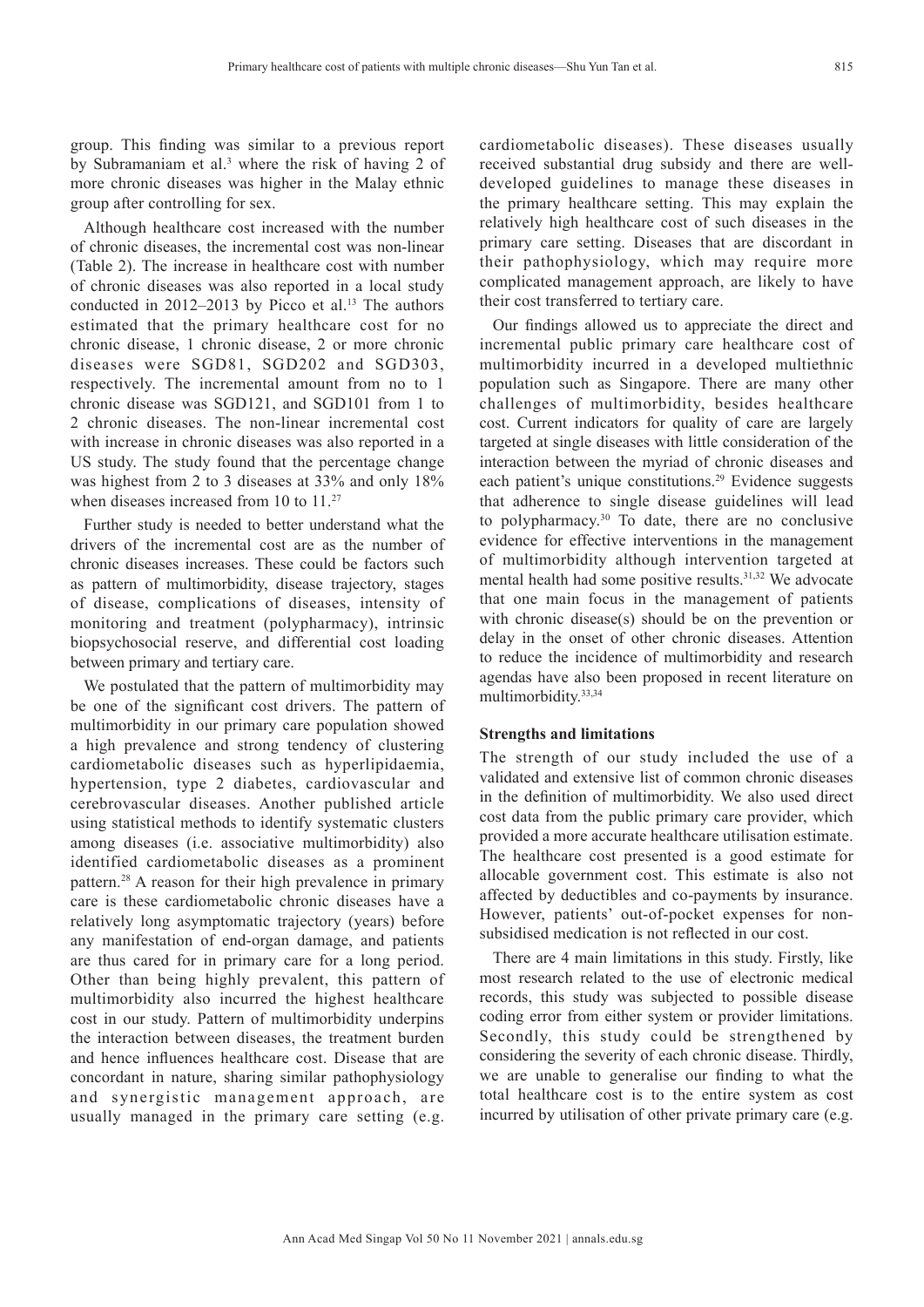group. This finding was similar to a previous report by Subramaniam et al.<sup>3</sup> where the risk of having 2 of more chronic diseases was higher in the Malay ethnic group after controlling for sex.

Although healthcare cost increased with the number of chronic diseases, the incremental cost was non-linear (Table 2). The increase in healthcare cost with number of chronic diseases was also reported in a local study conducted in  $2012-2013$  by Picco et al.<sup>13</sup> The authors estimated that the primary healthcare cost for no chronic disease, 1 chronic disease, 2 or more chronic diseases were SGD81, SGD202 and SGD303, respectively. The incremental amount from no to 1 chronic disease was SGD121, and SGD101 from 1 to 2 chronic diseases. The non-linear incremental cost with increase in chronic diseases was also reported in a US study. The study found that the percentage change was highest from 2 to 3 diseases at 33% and only 18% when diseases increased from 10 to 11.<sup>27</sup>

Further study is needed to better understand what the drivers of the incremental cost are as the number of chronic diseases increases. These could be factors such as pattern of multimorbidity, disease trajectory, stages of disease, complications of diseases, intensity of monitoring and treatment (polypharmacy), intrinsic biopsychosocial reserve, and differential cost loading between primary and tertiary care.

We postulated that the pattern of multimorbidity may be one of the significant cost drivers. The pattern of multimorbidity in our primary care population showed a high prevalence and strong tendency of clustering cardiometabolic diseases such as hyperlipidaemia, hypertension, type 2 diabetes, cardiovascular and cerebrovascular diseases. Another published article using statistical methods to identify systematic clusters among diseases (i.e. associative multimorbidity) also identified cardiometabolic diseases as a prominent pattern.28 A reason for their high prevalence in primary care is these cardiometabolic chronic diseases have a relatively long asymptomatic trajectory (years) before any manifestation of end-organ damage, and patients are thus cared for in primary care for a long period. Other than being highly prevalent, this pattern of multimorbidity also incurred the highest healthcare cost in our study. Pattern of multimorbidity underpins the interaction between diseases, the treatment burden and hence influences healthcare cost. Disease that are concordant in nature, sharing similar pathophysiology and synergistic management approach, are usually managed in the primary care setting (e.g.

cardiometabolic diseases). These diseases usually received substantial drug subsidy and there are welldeveloped guidelines to manage these diseases in the primary healthcare setting. This may explain the relatively high healthcare cost of such diseases in the primary care setting. Diseases that are discordant in their pathophysiology, which may require more complicated management approach, are likely to have their cost transferred to tertiary care.

Our findings allowed us to appreciate the direct and incremental public primary care healthcare cost of multimorbidity incurred in a developed multiethnic population such as Singapore. There are many other challenges of multimorbidity, besides healthcare cost. Current indicators for quality of care are largely targeted at single diseases with little consideration of the interaction between the myriad of chronic diseases and each patient's unique constitutions.<sup>29</sup> Evidence suggests that adherence to single disease guidelines will lead to polypharmacy. $30$  To date, there are no conclusive evidence for effective interventions in the management of multimorbidity although intervention targeted at mental health had some positive results.31,32 We advocate that one main focus in the management of patients with chronic disease(s) should be on the prevention or delay in the onset of other chronic diseases. Attention to reduce the incidence of multimorbidity and research agendas have also been proposed in recent literature on multimorbidity.33,34

#### **Strengths and limitations**

The strength of our study included the use of a validated and extensive list of common chronic diseases in the definition of multimorbidity. We also used direct cost data from the public primary care provider, which provided a more accurate healthcare utilisation estimate. The healthcare cost presented is a good estimate for allocable government cost. This estimate is also not affected by deductibles and co-payments by insurance. However, patients' out-of-pocket expenses for nonsubsidised medication is not reflected in our cost.

There are 4 main limitations in this study. Firstly, like most research related to the use of electronic medical records, this study was subjected to possible disease coding error from either system or provider limitations. Secondly, this study could be strengthened by considering the severity of each chronic disease. Thirdly, we are unable to generalise our finding to what the total healthcare cost is to the entire system as cost incurred by utilisation of other private primary care (e.g.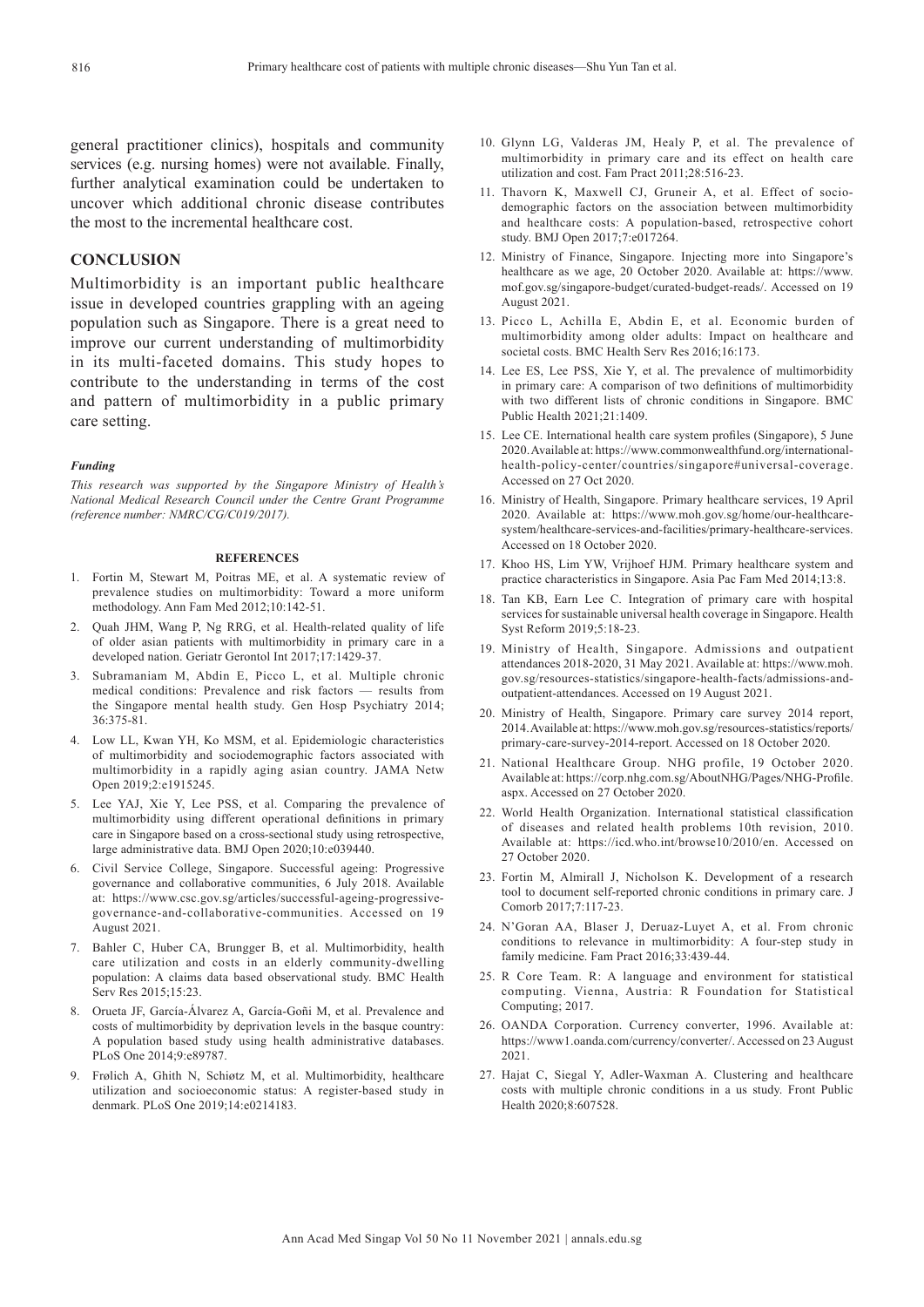general practitioner clinics), hospitals and community services (e.g. nursing homes) were not available. Finally, further analytical examination could be undertaken to uncover which additional chronic disease contributes the most to the incremental healthcare cost.

# **CONCLUSION**

Multimorbidity is an important public healthcare issue in developed countries grappling with an ageing population such as Singapore. There is a great need to improve our current understanding of multimorbidity in its multi-faceted domains. This study hopes to contribute to the understanding in terms of the cost and pattern of multimorbidity in a public primary care setting.

#### *Funding*

*This research was supported by the Singapore Ministry of Health's National Medical Research Council under the Centre Grant Programme (reference number: NMRC/CG/C019/2017).*

#### **REFERENCES**

- 1. Fortin M, Stewart M, Poitras ME, et al. A systematic review of prevalence studies on multimorbidity: Toward a more uniform methodology. Ann Fam Med 2012;10:142-51.
- 2. Quah JHM, Wang P, Ng RRG, et al. Health-related quality of life of older asian patients with multimorbidity in primary care in a developed nation. Geriatr Gerontol Int 2017;17:1429-37.
- 3. Subramaniam M, Abdin E, Picco L, et al. Multiple chronic medical conditions: Prevalence and risk factors — results from the Singapore mental health study. Gen Hosp Psychiatry 2014; 36:375-81.
- 4. Low LL, Kwan YH, Ko MSM, et al. Epidemiologic characteristics of multimorbidity and sociodemographic factors associated with multimorbidity in a rapidly aging asian country. JAMA Netw Open 2019;2:e1915245.
- 5. Lee YAJ, Xie Y, Lee PSS, et al. Comparing the prevalence of multimorbidity using different operational definitions in primary care in Singapore based on a cross-sectional study using retrospective, large administrative data. BMJ Open 2020;10:e039440.
- 6. Civil Service College, Singapore. Successful ageing: Progressive governance and collaborative communities, 6 July 2018. Available at: https://www.csc.gov.sg/articles/successful-ageing-progressivegovernance-and-collaborative-communities. Accessed on 19 August 2021.
- 7. Bahler C, Huber CA, Brungger B, et al. Multimorbidity, health care utilization and costs in an elderly community-dwelling population: A claims data based observational study. BMC Health Serv Res 2015;15:23.
- 8. Orueta JF, García-Álvarez A, García-Goñi M, et al. Prevalence and costs of multimorbidity by deprivation levels in the basque country: A population based study using health administrative databases. PLoS One 2014;9:e89787.
- 9. Frølich A, Ghith N, Schiøtz M, et al. Multimorbidity, healthcare utilization and socioeconomic status: A register-based study in denmark. PLoS One 2019;14:e0214183.
- 10. Glynn LG, Valderas JM, Healy P, et al. The prevalence of multimorbidity in primary care and its effect on health care utilization and cost. Fam Pract 2011;28:516-23.
- 11. Thavorn K, Maxwell CJ, Gruneir A, et al. Effect of sociodemographic factors on the association between multimorbidity and healthcare costs: A population-based, retrospective cohort study. BMJ Open 2017;7:e017264.
- 12. Ministry of Finance, Singapore. Injecting more into Singapore's healthcare as we age, 20 October 2020. Available at: https://www. mof.gov.sg/singapore-budget/curated-budget-reads/. Accessed on 19 August 2021.
- 13. Picco L, Achilla E, Abdin E, et al. Economic burden of multimorbidity among older adults: Impact on healthcare and societal costs. BMC Health Serv Res 2016;16:173.
- 14. Lee ES, Lee PSS, Xie Y, et al. The prevalence of multimorbidity in primary care: A comparison of two definitions of multimorbidity with two different lists of chronic conditions in Singapore. BMC Public Health 2021;21:1409.
- 15. Lee CE. International health care system profiles (Singapore), 5 June 2020. Available at: https://www.commonwealthfund.org/internationalhealth-policy-center/countries/singapore#universal-coverage. Accessed on 27 Oct 2020.
- 16. Ministry of Health, Singapore. Primary healthcare services, 19 April 2020. Available at: https://www.moh.gov.sg/home/our-healthcaresystem/healthcare-services-and-facilities/primary-healthcare-services. Accessed on 18 October 2020.
- 17. Khoo HS, Lim YW, Vrijhoef HJM. Primary healthcare system and practice characteristics in Singapore. Asia Pac Fam Med 2014;13:8.
- 18. Tan KB, Earn Lee C. Integration of primary care with hospital services for sustainable universal health coverage in Singapore. Health Syst Reform 2019;5:18-23.
- 19. Ministry of Health, Singapore. Admissions and outpatient attendances 2018-2020, 31 May 2021. Available at: https://www.moh. gov.sg/resources-statistics/singapore-health-facts/admissions-andoutpatient-attendances. Accessed on 19 August 2021.
- 20. Ministry of Health, Singapore. Primary care survey 2014 report, 2014. Available at: https://www.moh.gov.sg/resources-statistics/reports/ primary-care-survey-2014-report. Accessed on 18 October 2020.
- 21. National Healthcare Group. NHG profile, 19 October 2020. Available at: https://corp.nhg.com.sg/AboutNHG/Pages/NHG-Profile. aspx. Accessed on 27 October 2020.
- 22. World Health Organization. International statistical classification of diseases and related health problems 10th revision, 2010. Available at: https://icd.who.int/browse10/2010/en. Accessed on 27 October 2020.
- 23. Fortin M, Almirall J, Nicholson K. Development of a research tool to document self-reported chronic conditions in primary care. J Comorb 2017;7:117-23.
- 24. N'Goran AA, Blaser J, Deruaz-Luyet A, et al. From chronic conditions to relevance in multimorbidity: A four-step study in family medicine. Fam Pract 2016;33:439-44.
- 25. R Core Team. R: A language and environment for statistical computing. Vienna, Austria: R Foundation for Statistical Computing; 2017.
- 26. OANDA Corporation. Currency converter, 1996. Available at: https://www1.oanda.com/currency/converter/. Accessed on 23 August 2021.
- 27. Hajat C, Siegal Y, Adler-Waxman A. Clustering and healthcare costs with multiple chronic conditions in a us study. Front Public Health 2020;8:607528.